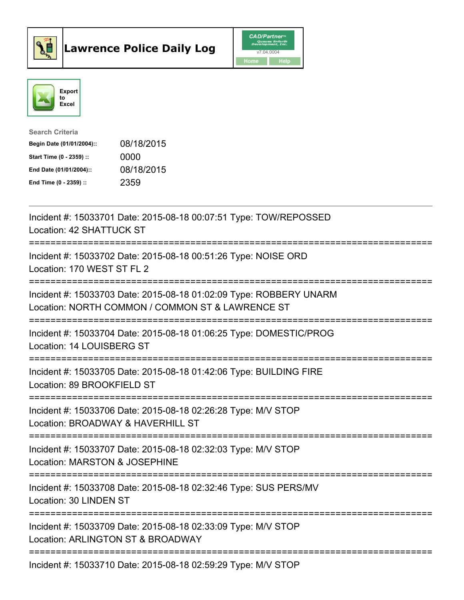



| <b>Search Criteria</b>    |            |
|---------------------------|------------|
| Begin Date (01/01/2004):: | 08/18/2015 |
| Start Time (0 - 2359) ::  | 0000       |
| End Date (01/01/2004)::   | 08/18/2015 |
| End Time (0 - 2359) ::    | 2359       |

| Incident #: 15033701 Date: 2015-08-18 00:07:51 Type: TOW/REPOSSED<br>Location: 42 SHATTUCK ST                                                                |
|--------------------------------------------------------------------------------------------------------------------------------------------------------------|
| Incident #: 15033702 Date: 2015-08-18 00:51:26 Type: NOISE ORD<br>Location: 170 WEST ST FL 2                                                                 |
| Incident #: 15033703 Date: 2015-08-18 01:02:09 Type: ROBBERY UNARM<br>Location: NORTH COMMON / COMMON ST & LAWRENCE ST<br>================================== |
| Incident #: 15033704 Date: 2015-08-18 01:06:25 Type: DOMESTIC/PROG<br>Location: 14 LOUISBERG ST<br>--------------------                                      |
| Incident #: 15033705 Date: 2015-08-18 01:42:06 Type: BUILDING FIRE<br>Location: 89 BROOKFIELD ST<br>----------------------                                   |
| Incident #: 15033706 Date: 2015-08-18 02:26:28 Type: M/V STOP<br>Location: BROADWAY & HAVERHILL ST                                                           |
| ==========================<br>Incident #: 15033707 Date: 2015-08-18 02:32:03 Type: M/V STOP<br>Location: MARSTON & JOSEPHINE                                 |
| ;===========================<br>--------------<br>Incident #: 15033708 Date: 2015-08-18 02:32:46 Type: SUS PERS/MV<br>Location: 30 LINDEN ST                 |
| Incident #: 15033709 Date: 2015-08-18 02:33:09 Type: M/V STOP<br>Location: ARLINGTON ST & BROADWAY                                                           |
| Incident #: 15033710 Date: 2015-08-18 02:59:29 Type: M/V STOP                                                                                                |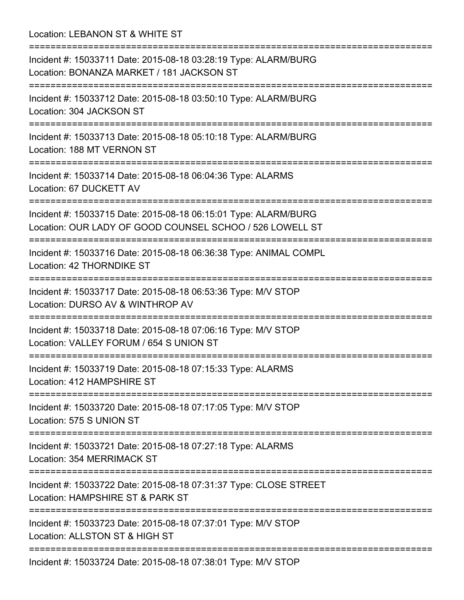Location: LEBANON ST & WHITE ST =========================================================================== Incident #: 15033711 Date: 2015-08-18 03:28:19 Type: ALARM/BURG Location: BONANZA MARKET / 181 JACKSON ST =========================================================================== Incident #: 15033712 Date: 2015-08-18 03:50:10 Type: ALARM/BURG Location: 304 JACKSON ST =========================================================================== Incident #: 15033713 Date: 2015-08-18 05:10:18 Type: ALARM/BURG Location: 188 MT VERNON ST =========================================================================== Incident #: 15033714 Date: 2015-08-18 06:04:36 Type: ALARMS Location: 67 DUCKETT AV =========================================================================== Incident #: 15033715 Date: 2015-08-18 06:15:01 Type: ALARM/BURG Location: OUR LADY OF GOOD COUNSEL SCHOO / 526 LOWELL ST =========================================================================== Incident #: 15033716 Date: 2015-08-18 06:36:38 Type: ANIMAL COMPL Location: 42 THORNDIKE ST =========================================================================== Incident #: 15033717 Date: 2015-08-18 06:53:36 Type: M/V STOP Location: DURSO AV & WINTHROP AV =========================================================================== Incident #: 15033718 Date: 2015-08-18 07:06:16 Type: M/V STOP Location: VALLEY FORUM / 654 S UNION ST =========================================================================== Incident #: 15033719 Date: 2015-08-18 07:15:33 Type: ALARMS Location: 412 HAMPSHIRE ST =========================================================================== Incident #: 15033720 Date: 2015-08-18 07:17:05 Type: M/V STOP Location: 575 S UNION ST =========================================================================== Incident #: 15033721 Date: 2015-08-18 07:27:18 Type: ALARMS Location: 354 MERRIMACK ST =========================================================================== Incident #: 15033722 Date: 2015-08-18 07:31:37 Type: CLOSE STREET Location: HAMPSHIRE ST & PARK ST =========================================================================== Incident #: 15033723 Date: 2015-08-18 07:37:01 Type: M/V STOP Location: ALLSTON ST & HIGH ST =========================================================================== Incident #: 15033724 Date: 2015-08-18 07:38:01 Type: M/V STOP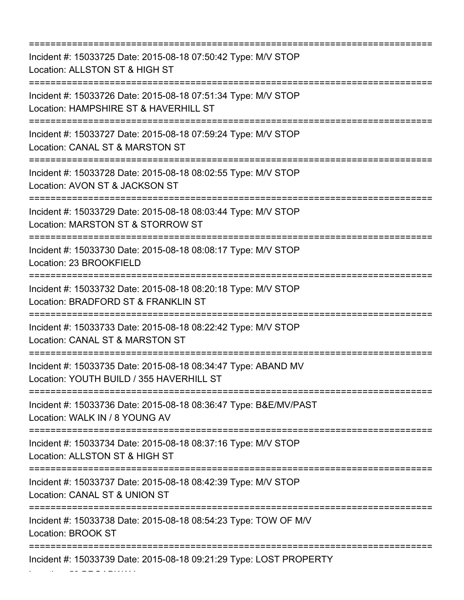=========================================================================== Incident #: 15033725 Date: 2015-08-18 07:50:42 Type: M/V STOP Location: ALLSTON ST & HIGH ST =========================================================================== Incident #: 15033726 Date: 2015-08-18 07:51:34 Type: M/V STOP Location: HAMPSHIRE ST & HAVERHILL ST =========================================================================== Incident #: 15033727 Date: 2015-08-18 07:59:24 Type: M/V STOP Location: CANAL ST & MARSTON ST =========================================================================== Incident #: 15033728 Date: 2015-08-18 08:02:55 Type: M/V STOP Location: AVON ST & JACKSON ST =========================================================================== Incident #: 15033729 Date: 2015-08-18 08:03:44 Type: M/V STOP Location: MARSTON ST & STORROW ST =========================================================================== Incident #: 15033730 Date: 2015-08-18 08:08:17 Type: M/V STOP Location: 23 BROOKFIELD =========================================================================== Incident #: 15033732 Date: 2015-08-18 08:20:18 Type: M/V STOP Location: BRADFORD ST & FRANKLIN ST =========================================================================== Incident #: 15033733 Date: 2015-08-18 08:22:42 Type: M/V STOP Location: CANAL ST & MARSTON ST =========================================================================== Incident #: 15033735 Date: 2015-08-18 08:34:47 Type: ABAND MV Location: YOUTH BUILD / 355 HAVERHILL ST =========================================================================== Incident #: 15033736 Date: 2015-08-18 08:36:47 Type: B&E/MV/PAST Location: WALK IN / 8 YOUNG AV =========================================================================== Incident #: 15033734 Date: 2015-08-18 08:37:16 Type: M/V STOP Location: ALLSTON ST & HIGH ST =========================================================================== Incident #: 15033737 Date: 2015-08-18 08:42:39 Type: M/V STOP Location: CANAL ST & UNION ST =========================================================================== Incident #: 15033738 Date: 2015-08-18 08:54:23 Type: TOW OF M/V Location: BROOK ST =========================================================================== Incident #: 15033739 Date: 2015-08-18 09:21:29 Type: LOST PROPERTY

Location: 50 BROADWAY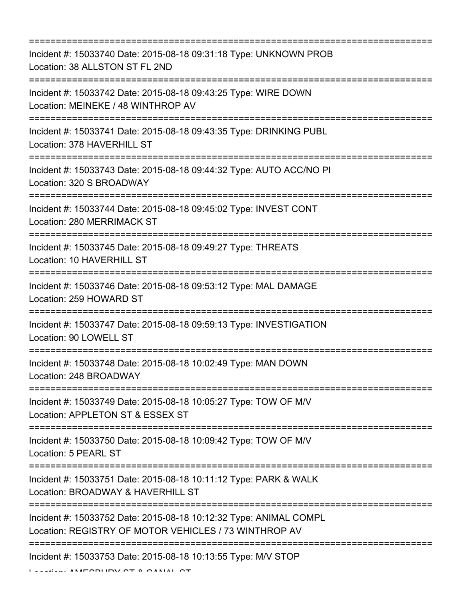=========================================================================== Incident #: 15033740 Date: 2015-08-18 09:31:18 Type: UNKNOWN PROB Location: 38 ALLSTON ST FL 2ND =========================================================================== Incident #: 15033742 Date: 2015-08-18 09:43:25 Type: WIRE DOWN Location: MEINEKE / 48 WINTHROP AV =========================================================================== Incident #: 15033741 Date: 2015-08-18 09:43:35 Type: DRINKING PUBL Location: 378 HAVERHILL ST =========================================================================== Incident #: 15033743 Date: 2015-08-18 09:44:32 Type: AUTO ACC/NO PI Location: 320 S BROADWAY =========================================================================== Incident #: 15033744 Date: 2015-08-18 09:45:02 Type: INVEST CONT Location: 280 MERRIMACK ST =========================================================================== Incident #: 15033745 Date: 2015-08-18 09:49:27 Type: THREATS Location: 10 HAVERHILL ST =========================================================================== Incident #: 15033746 Date: 2015-08-18 09:53:12 Type: MAL DAMAGE Location: 259 HOWARD ST =========================================================================== Incident #: 15033747 Date: 2015-08-18 09:59:13 Type: INVESTIGATION Location: 90 LOWELL ST =========================================================================== Incident #: 15033748 Date: 2015-08-18 10:02:49 Type: MAN DOWN Location: 248 BROADWAY =========================================================================== Incident #: 15033749 Date: 2015-08-18 10:05:27 Type: TOW OF M/V Location: APPLETON ST & ESSEX ST =========================================================================== Incident #: 15033750 Date: 2015-08-18 10:09:42 Type: TOW OF M/V Location: 5 PEARL ST =========================================================================== Incident #: 15033751 Date: 2015-08-18 10:11:12 Type: PARK & WALK Location: BROADWAY & HAVERHILL ST =========================================================================== Incident #: 15033752 Date: 2015-08-18 10:12:32 Type: ANIMAL COMPL Location: REGISTRY OF MOTOR VEHICLES / 73 WINTHROP AV =========================================================================== Incident #: 15033753 Date: 2015-08-18 10:13:55 Type: M/V STOP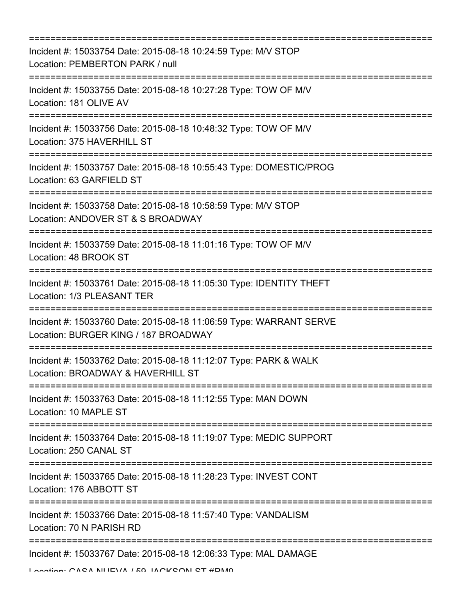| ================================                                                                                                        |
|-----------------------------------------------------------------------------------------------------------------------------------------|
| Incident #: 15033754 Date: 2015-08-18 10:24:59 Type: M/V STOP<br>Location: PEMBERTON PARK / null                                        |
| Incident #: 15033755 Date: 2015-08-18 10:27:28 Type: TOW OF M/V<br>Location: 181 OLIVE AV                                               |
| Incident #: 15033756 Date: 2015-08-18 10:48:32 Type: TOW OF M/V<br>Location: 375 HAVERHILL ST                                           |
| Incident #: 15033757 Date: 2015-08-18 10:55:43 Type: DOMESTIC/PROG<br>Location: 63 GARFIELD ST                                          |
| Incident #: 15033758 Date: 2015-08-18 10:58:59 Type: M/V STOP<br>Location: ANDOVER ST & S BROADWAY                                      |
| :============================<br>Incident #: 15033759 Date: 2015-08-18 11:01:16 Type: TOW OF M/V<br>Location: 48 BROOK ST               |
| Incident #: 15033761 Date: 2015-08-18 11:05:30 Type: IDENTITY THEFT<br>Location: 1/3 PLEASANT TER                                       |
| =========================<br>Incident #: 15033760 Date: 2015-08-18 11:06:59 Type: WARRANT SERVE<br>Location: BURGER KING / 187 BROADWAY |
| Incident #: 15033762 Date: 2015-08-18 11:12:07 Type: PARK & WALK<br>Location: BROADWAY & HAVERHILL ST                                   |
| ====================================<br>Incident #: 15033763 Date: 2015-08-18 11:12:55 Type: MAN DOWN<br>Location: 10 MAPLE ST          |
| Incident #: 15033764 Date: 2015-08-18 11:19:07 Type: MEDIC SUPPORT<br>Location: 250 CANAL ST                                            |
| Incident #: 15033765 Date: 2015-08-18 11:28:23 Type: INVEST CONT<br>Location: 176 ABBOTT ST                                             |
| Incident #: 15033766 Date: 2015-08-18 11:57:40 Type: VANDALISM<br>Location: 70 N PARISH RD                                              |
| Incident #: 15033767 Date: 2015-08-18 12:06:33 Type: MAL DAMAGE                                                                         |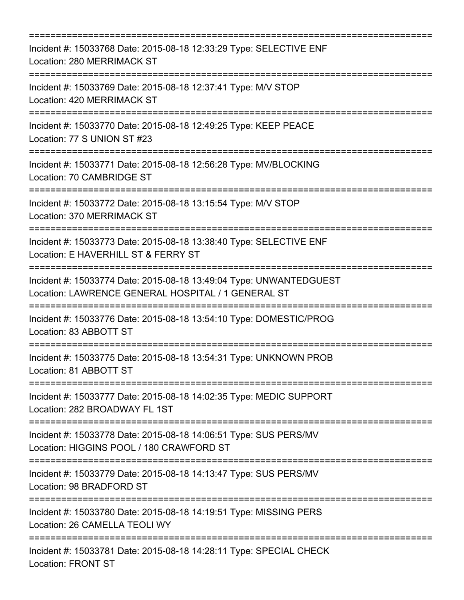| Incident #: 15033768 Date: 2015-08-18 12:33:29 Type: SELECTIVE ENF<br>Location: 280 MERRIMACK ST                         |
|--------------------------------------------------------------------------------------------------------------------------|
| Incident #: 15033769 Date: 2015-08-18 12:37:41 Type: M/V STOP<br>Location: 420 MERRIMACK ST                              |
| Incident #: 15033770 Date: 2015-08-18 12:49:25 Type: KEEP PEACE<br>Location: 77 S UNION ST #23                           |
| Incident #: 15033771 Date: 2015-08-18 12:56:28 Type: MV/BLOCKING<br>Location: 70 CAMBRIDGE ST<br>-----------------       |
| Incident #: 15033772 Date: 2015-08-18 13:15:54 Type: M/V STOP<br>Location: 370 MERRIMACK ST                              |
| Incident #: 15033773 Date: 2015-08-18 13:38:40 Type: SELECTIVE ENF<br>Location: E HAVERHILL ST & FERRY ST                |
| Incident #: 15033774 Date: 2015-08-18 13:49:04 Type: UNWANTEDGUEST<br>Location: LAWRENCE GENERAL HOSPITAL / 1 GENERAL ST |
| Incident #: 15033776 Date: 2015-08-18 13:54:10 Type: DOMESTIC/PROG<br>Location: 83 ABBOTT ST                             |
| Incident #: 15033775 Date: 2015-08-18 13:54:31 Type: UNKNOWN PROB<br>Location: 81 ABBOTT ST                              |
| Incident #: 15033777 Date: 2015-08-18 14:02:35 Type: MEDIC SUPPORT<br>Location: 282 BROADWAY FL 1ST                      |
| Incident #: 15033778 Date: 2015-08-18 14:06:51 Type: SUS PERS/MV<br>Location: HIGGINS POOL / 180 CRAWFORD ST             |
| Incident #: 15033779 Date: 2015-08-18 14:13:47 Type: SUS PERS/MV<br>Location: 98 BRADFORD ST                             |
| Incident #: 15033780 Date: 2015-08-18 14:19:51 Type: MISSING PERS<br>Location: 26 CAMELLA TEOLI WY                       |
| Incident #: 15033781 Date: 2015-08-18 14:28:11 Type: SPECIAL CHECK<br><b>Location: FRONT ST</b>                          |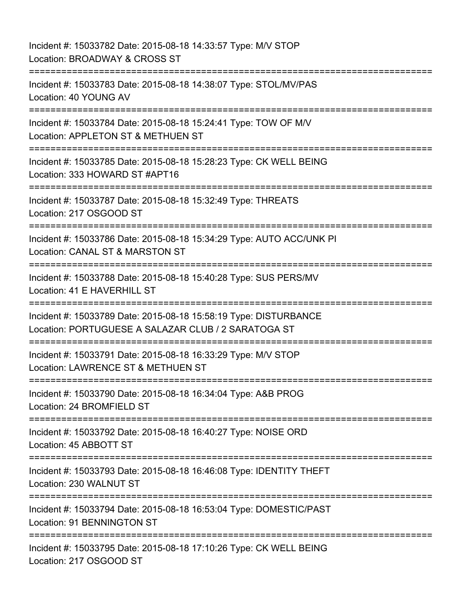Incident #: 15033782 Date: 2015-08-18 14:33:57 Type: M/V STOP Location: BROADWAY & CROSS ST =========================================================================== Incident #: 15033783 Date: 2015-08-18 14:38:07 Type: STOL/MV/PAS Location: 40 YOUNG AV =========================================================================== Incident #: 15033784 Date: 2015-08-18 15:24:41 Type: TOW OF M/V Location: APPLETON ST & METHUEN ST =========================================================================== Incident #: 15033785 Date: 2015-08-18 15:28:23 Type: CK WELL BEING Location: 333 HOWARD ST #APT16 =========================================================================== Incident #: 15033787 Date: 2015-08-18 15:32:49 Type: THREATS Location: 217 OSGOOD ST =========================================================================== Incident #: 15033786 Date: 2015-08-18 15:34:29 Type: AUTO ACC/UNK PI Location: CANAL ST & MARSTON ST =========================================================================== Incident #: 15033788 Date: 2015-08-18 15:40:28 Type: SUS PERS/MV Location: 41 E HAVERHILL ST =========================================================================== Incident #: 15033789 Date: 2015-08-18 15:58:19 Type: DISTURBANCE Location: PORTUGUESE A SALAZAR CLUB / 2 SARATOGA ST =========================================================================== Incident #: 15033791 Date: 2015-08-18 16:33:29 Type: M/V STOP Location: LAWRENCE ST & METHUEN ST =========================================================================== Incident #: 15033790 Date: 2015-08-18 16:34:04 Type: A&B PROG Location: 24 BROMFIELD ST =========================================================================== Incident #: 15033792 Date: 2015-08-18 16:40:27 Type: NOISE ORD Location: 45 ABBOTT ST =========================================================================== Incident #: 15033793 Date: 2015-08-18 16:46:08 Type: IDENTITY THEFT Location: 230 WALNUT ST =========================================================================== Incident #: 15033794 Date: 2015-08-18 16:53:04 Type: DOMESTIC/PAST Location: 91 BENNINGTON ST =========================================================================== Incident #: 15033795 Date: 2015-08-18 17:10:26 Type: CK WELL BEING Location: 217 OSGOOD ST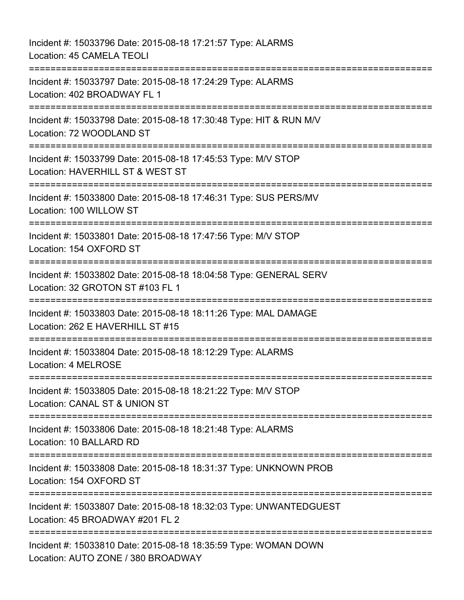Incident #: 15033796 Date: 2015-08-18 17:21:57 Type: ALARMS Location: 45 CAMELA TEOLI =========================================================================== Incident #: 15033797 Date: 2015-08-18 17:24:29 Type: ALARMS Location: 402 BROADWAY FL 1 =========================================================================== Incident #: 15033798 Date: 2015-08-18 17:30:48 Type: HIT & RUN M/V Location: 72 WOODLAND ST =========================================================================== Incident #: 15033799 Date: 2015-08-18 17:45:53 Type: M/V STOP Location: HAVERHILL ST & WEST ST =========================================================================== Incident #: 15033800 Date: 2015-08-18 17:46:31 Type: SUS PERS/MV Location: 100 WILLOW ST =========================================================================== Incident #: 15033801 Date: 2015-08-18 17:47:56 Type: M/V STOP Location: 154 OXFORD ST =========================================================================== Incident #: 15033802 Date: 2015-08-18 18:04:58 Type: GENERAL SERV Location: 32 GROTON ST #103 FL 1 =========================================================================== Incident #: 15033803 Date: 2015-08-18 18:11:26 Type: MAL DAMAGE Location: 262 E HAVERHILL ST #15 =========================================================================== Incident #: 15033804 Date: 2015-08-18 18:12:29 Type: ALARMS Location: 4 MELROSE =========================================================================== Incident #: 15033805 Date: 2015-08-18 18:21:22 Type: M/V STOP Location: CANAL ST & UNION ST =========================================================================== Incident #: 15033806 Date: 2015-08-18 18:21:48 Type: ALARMS Location: 10 BALLARD RD =========================================================================== Incident #: 15033808 Date: 2015-08-18 18:31:37 Type: UNKNOWN PROB Location: 154 OXFORD ST =========================================================================== Incident #: 15033807 Date: 2015-08-18 18:32:03 Type: UNWANTEDGUEST Location: 45 BROADWAY #201 FL 2 =========================================================================== Incident #: 15033810 Date: 2015-08-18 18:35:59 Type: WOMAN DOWN Location: AUTO ZONE / 380 BROADWAY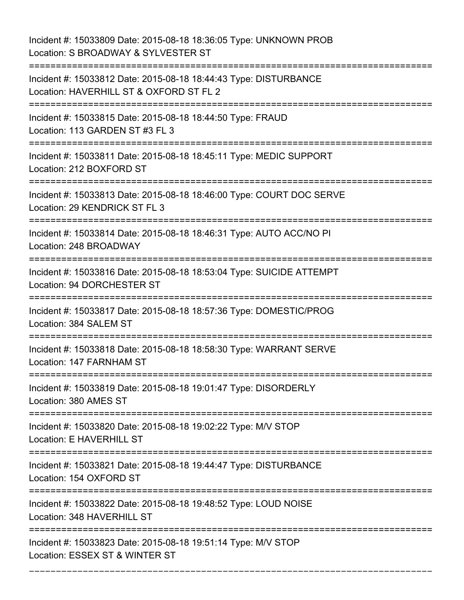Incident #: 15033809 Date: 2015-08-18 18:36:05 Type: UNKNOWN PROB Location: S BROADWAY & SYLVESTER ST

=========================================================================== Incident #: 15033812 Date: 2015-08-18 18:44:43 Type: DISTURBANCE Location: HAVERHILL ST & OXFORD ST FL 2 =========================================================================== Incident #: 15033815 Date: 2015-08-18 18:44:50 Type: FRAUD Location: 113 GARDEN ST #3 FL 3 =========================================================================== Incident #: 15033811 Date: 2015-08-18 18:45:11 Type: MEDIC SUPPORT Location: 212 BOXFORD ST =========================================================================== Incident #: 15033813 Date: 2015-08-18 18:46:00 Type: COURT DOC SERVE Location: 29 KENDRICK ST FL 3 =========================================================================== Incident #: 15033814 Date: 2015-08-18 18:46:31 Type: AUTO ACC/NO PI Location: 248 BROADWAY =========================================================================== Incident #: 15033816 Date: 2015-08-18 18:53:04 Type: SUICIDE ATTEMPT Location: 94 DORCHESTER ST =========================================================================== Incident #: 15033817 Date: 2015-08-18 18:57:36 Type: DOMESTIC/PROG Location: 384 SALEM ST =========================================================================== Incident #: 15033818 Date: 2015-08-18 18:58:30 Type: WARRANT SERVE Location: 147 FARNHAM ST =========================================================================== Incident #: 15033819 Date: 2015-08-18 19:01:47 Type: DISORDERLY Location: 380 AMES ST =========================================================================== Incident #: 15033820 Date: 2015-08-18 19:02:22 Type: M/V STOP Location: E HAVERHILL ST =========================================================================== Incident #: 15033821 Date: 2015-08-18 19:44:47 Type: DISTURBANCE Location: 154 OXFORD ST =========================================================================== Incident #: 15033822 Date: 2015-08-18 19:48:52 Type: LOUD NOISE Location: 348 HAVERHILL ST =========================================================================== Incident #: 15033823 Date: 2015-08-18 19:51:14 Type: M/V STOP Location: ESSEX ST & WINTER ST

===========================================================================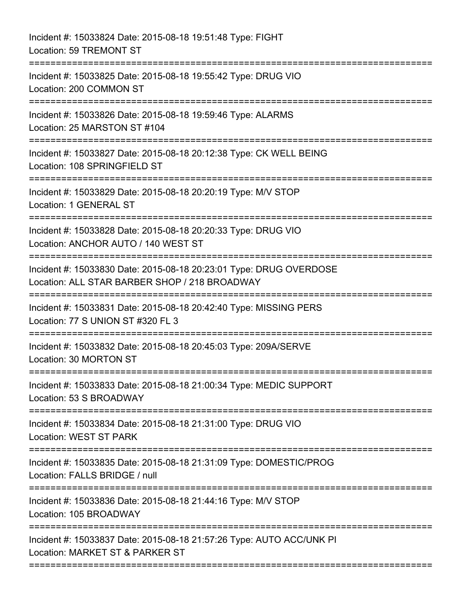Incident #: 15033824 Date: 2015-08-18 19:51:48 Type: FIGHT Location: 59 TREMONT ST =========================================================================== Incident #: 15033825 Date: 2015-08-18 19:55:42 Type: DRUG VIO Location: 200 COMMON ST =========================================================================== Incident #: 15033826 Date: 2015-08-18 19:59:46 Type: ALARMS Location: 25 MARSTON ST #104 =========================================================================== Incident #: 15033827 Date: 2015-08-18 20:12:38 Type: CK WELL BEING Location: 108 SPRINGFIELD ST =========================================================================== Incident #: 15033829 Date: 2015-08-18 20:20:19 Type: M/V STOP Location: 1 GENERAL ST =========================================================================== Incident #: 15033828 Date: 2015-08-18 20:20:33 Type: DRUG VIO Location: ANCHOR AUTO / 140 WEST ST =========================================================================== Incident #: 15033830 Date: 2015-08-18 20:23:01 Type: DRUG OVERDOSE Location: ALL STAR BARBER SHOP / 218 BROADWAY =========================================================================== Incident #: 15033831 Date: 2015-08-18 20:42:40 Type: MISSING PERS Location: 77 S UNION ST #320 FL 3 =========================================================================== Incident #: 15033832 Date: 2015-08-18 20:45:03 Type: 209A/SERVE Location: 30 MORTON ST =========================================================================== Incident #: 15033833 Date: 2015-08-18 21:00:34 Type: MEDIC SUPPORT Location: 53 S BROADWAY =========================================================================== Incident #: 15033834 Date: 2015-08-18 21:31:00 Type: DRUG VIO Location: WEST ST PARK =========================================================================== Incident #: 15033835 Date: 2015-08-18 21:31:09 Type: DOMESTIC/PROG Location: FALLS BRIDGE / null =========================================================================== Incident #: 15033836 Date: 2015-08-18 21:44:16 Type: M/V STOP Location: 105 BROADWAY =========================================================================== Incident #: 15033837 Date: 2015-08-18 21:57:26 Type: AUTO ACC/UNK PI Location: MARKET ST & PARKER ST ===========================================================================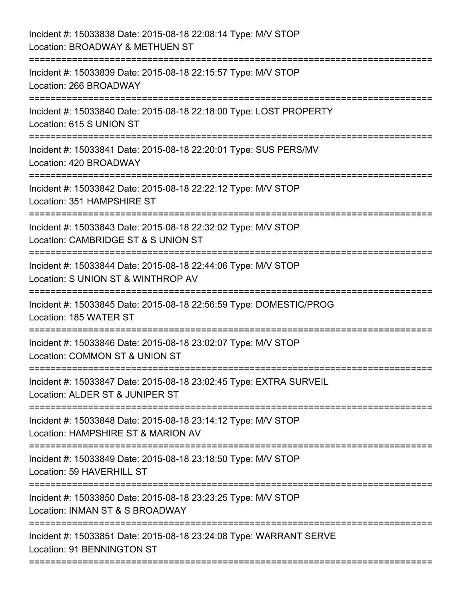| Incident #: 15033838 Date: 2015-08-18 22:08:14 Type: M/V STOP<br>Location: BROADWAY & METHUEN ST                                     |
|--------------------------------------------------------------------------------------------------------------------------------------|
| Incident #: 15033839 Date: 2015-08-18 22:15:57 Type: M/V STOP<br>Location: 266 BROADWAY                                              |
| Incident #: 15033840 Date: 2015-08-18 22:18:00 Type: LOST PROPERTY<br>Location: 615 S UNION ST                                       |
| Incident #: 15033841 Date: 2015-08-18 22:20:01 Type: SUS PERS/MV<br>Location: 420 BROADWAY                                           |
| Incident #: 15033842 Date: 2015-08-18 22:22:12 Type: M/V STOP<br>Location: 351 HAMPSHIRE ST                                          |
| Incident #: 15033843 Date: 2015-08-18 22:32:02 Type: M/V STOP<br>Location: CAMBRIDGE ST & S UNION ST<br>============================ |
| Incident #: 15033844 Date: 2015-08-18 22:44:06 Type: M/V STOP<br>Location: S UNION ST & WINTHROP AV                                  |
| Incident #: 15033845 Date: 2015-08-18 22:56:59 Type: DOMESTIC/PROG<br>Location: 185 WATER ST                                         |
| Incident #: 15033846 Date: 2015-08-18 23:02:07 Type: M/V STOP<br>Location: COMMON ST & UNION ST                                      |
| Incident #: 15033847 Date: 2015-08-18 23:02:45 Type: EXTRA SURVEIL<br>Location: ALDER ST & JUNIPER ST                                |
| Incident #: 15033848 Date: 2015-08-18 23:14:12 Type: M/V STOP<br>Location: HAMPSHIRE ST & MARION AV                                  |
| Incident #: 15033849 Date: 2015-08-18 23:18:50 Type: M/V STOP<br>Location: 59 HAVERHILL ST                                           |
| Incident #: 15033850 Date: 2015-08-18 23:23:25 Type: M/V STOP<br>Location: INMAN ST & S BROADWAY                                     |
| Incident #: 15033851 Date: 2015-08-18 23:24:08 Type: WARRANT SERVE<br>Location: 91 BENNINGTON ST                                     |
|                                                                                                                                      |